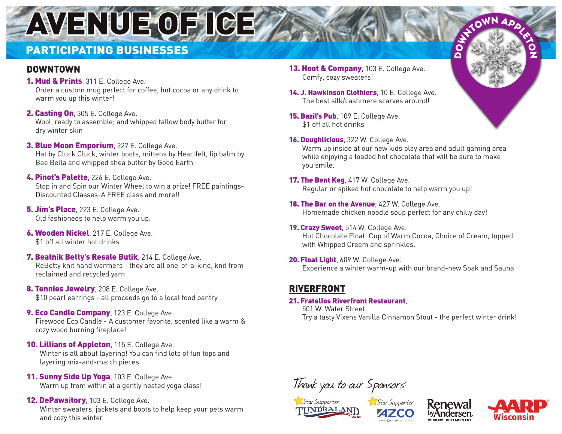# AVENUE OF ICE

# PARTICIPATING BUSINESSES

## DOWNTOWN

- **1. Mud & Prints**, 311 E. College Ave. Order a custom mug perfect for coffee, hot cocoa or any drink to warm you up this winter!
- 2. Casting On, 305 E. College Ave. Wool, ready to assemble; and whipped tallow body butter for dry winter skin
- 3. Blue Moon Emporium, 227 E. College Ave. Hat by Cluck Cluck, winter boots, mittens by Heartfelt, lip balm by Bee Bella and whipped shea butter by Good Earth
- 4. Pinot's Palette, 226 E. College Ave. Stop in and Spin our Winter Wheel to win a prize! FREE paintings-Discounted Classes-A FREE class and more!!
- **5. Jim's Place**, 223 E. College Ave. Old fashioneds to help warm you up.
- **6. Wooden Nickel**, 217 E. College Ave. \$1 off all winter hot drinks
- 7. Beatnik Betty's Resale Butik, 214 E. College Ave. ReBetty knit hand warmers - they are all one-of-a-kind, knit from reclaimed and recycled yarn
- 8. Tennies Jewelry, 208 E. College Ave. \$10 pearl earrings - all proceeds go to a local food pantry
- **9. Eco Candle Company**, 123 E. College Ave. Firewood Eco Candle - A customer favorite, scented like a warm & cozy wood burning fireplace!
- 10. Lillians of Appleton, 115 E. College Ave. Winter is all about layering! You can find lots of fun tops and layering mix-and-match pieces
- 11. Sunny Side Up Yoga, 103 E. College Ave Warm up from within at a gently heated yoga class!

#### 12. DePawsitory, 103 E. College Ave.

Winter sweaters, jackets and boots to help keep your pets warm and cozy this winter

- 13. Hoot & Company, 103 E. College Ave. Comfy, cozy sweaters!
- 14. J. Hawkinson Clothiers, 10 E. College Ave. The best silk/cashmere scarves around!
- 15. Bazil's Pub, 109 E. College Ave. \$1 off all hot drinks
- 16. Doughlicious, 322 W. College Ave. Warm up inside at our new kids play area and adult gaming area while enjoying a loaded hot chocolate that will be sure to make you smile.

**DO** 

- 17. The Bent Keg, 417 W. College Ave. Regular or spiked hot chocolate to help warm you up!
- 18. The Bar on the Avenue, 427 W. College Ave. Homemade chicken noodle soup perfect for any chilly day!
- 19. Crazy Sweet, 514 W. College Ave. Hot Chocolate Float: Cup of Warm Cocoa, Choice of Cream, topped with Whipped Cream and sprinkles.
- 20. Float Light, 609 W. College Ave. Experience a winter warm-up with our brand-new Soak and Sauna

### RIVERFRONT

#### 21. Fratellos Riverfront Restaurant,

501 W. Water Street Try a tasty Vixens Vanilla Cinnamon Stout - the perfect winter drink!

Thank you to our Sponsors: